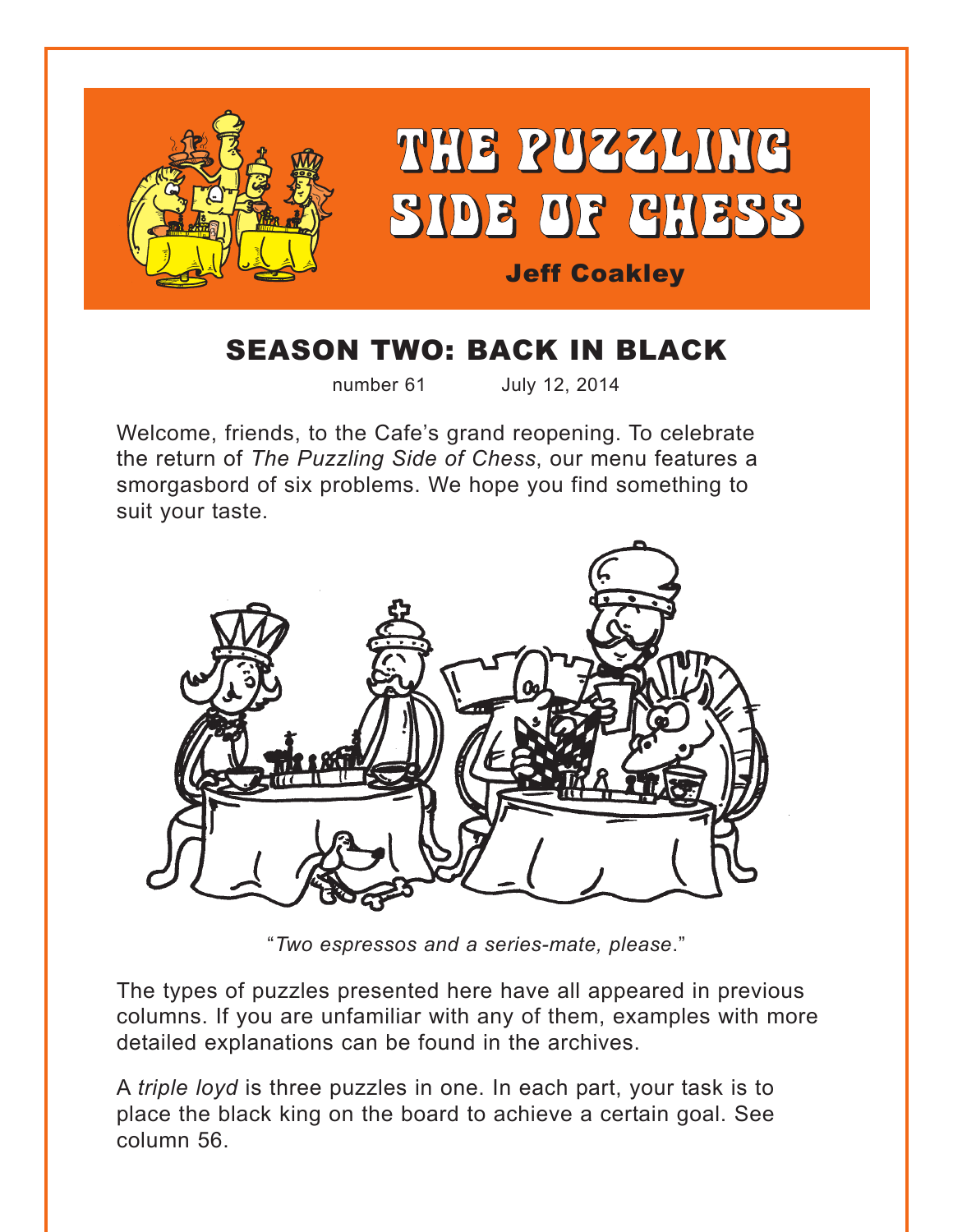

# SEASON TWO: BACK IN BLACK

number 61 July 12, 2014

Welcome, friends, to the Cafe's grand reopening. To celebrate the return of *The Puzzling Side of Chess*, our menu features a smorgasbord of six problems. We hope you find something to suit your taste.



"*Two espressos and a series-mate, please*."

The types of puzzles presented here have all appeared in previous columns. If you are unfamiliar with any of them, examples with more detailed explanations can be found in the archives.

A *triple loyd* is three puzzles in one. In each part, your task is to place the black king on the board to achieve a certain goal. See column 56.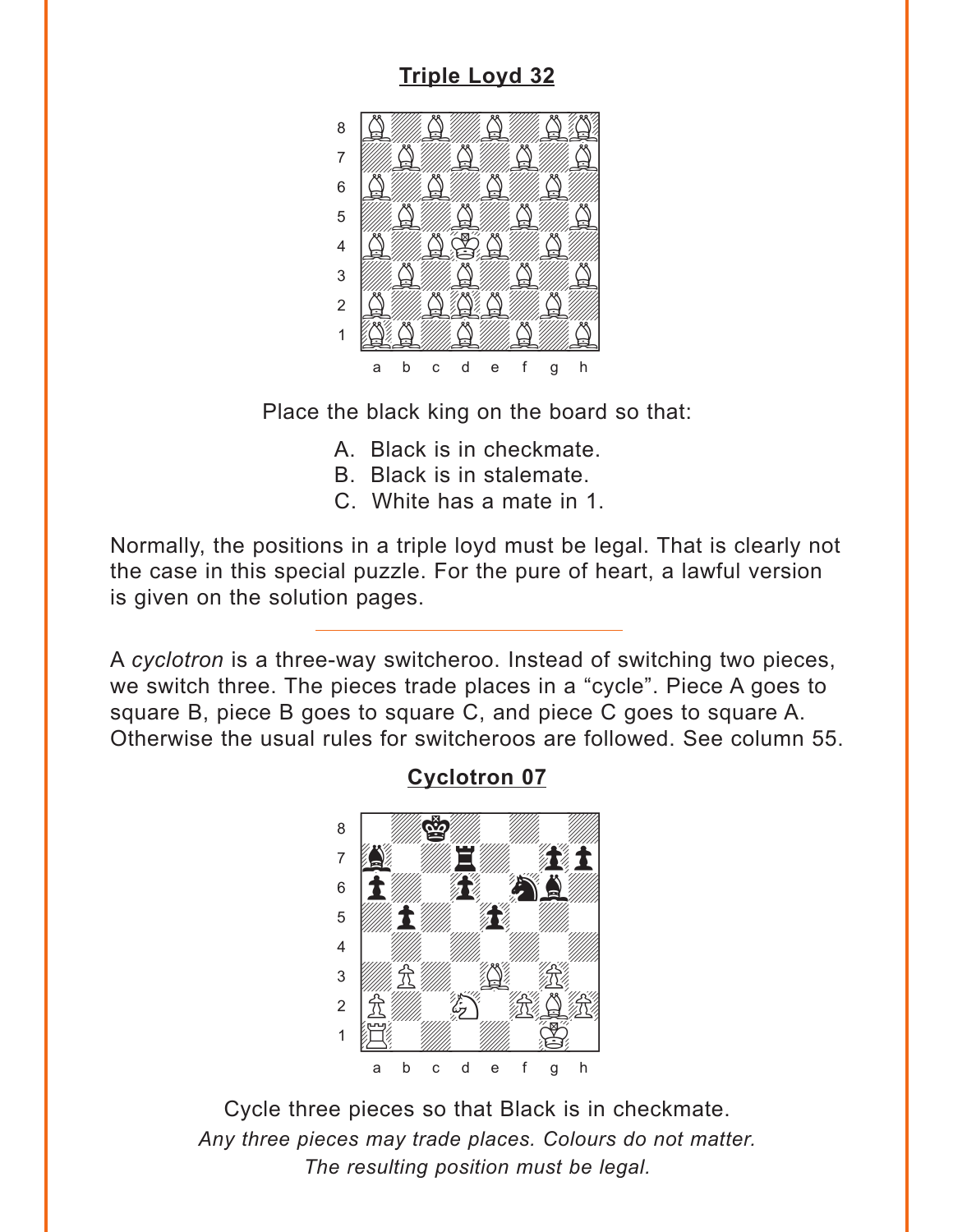## **Triple Loyd 32**

<span id="page-1-0"></span>

Place the black king on the board so that:

- A. Black is in checkmate.
- B. Black is in stalemate.
- C. White has a mate in 1.

Normally, the positions in a triple loyd must be legal. That is clearly not the case in this special puzzle. For the pure of heart, a lawful version is given on the solution pages.

A cyclotron is a three-way switcheroo. Instead of switching two pieces, we switch three. The pieces trade places in a "cycle". Piece A goes to square B, piece B goes to square C, and piece C goes to square A. Otherwise the usual rules for switcheroos are followed. See column 55.

### **Cyclotron 07**



Cycle three pieces so that Black is in checkmate. Any three pieces may trade places. Colours do not matter. The resulting position must be legal.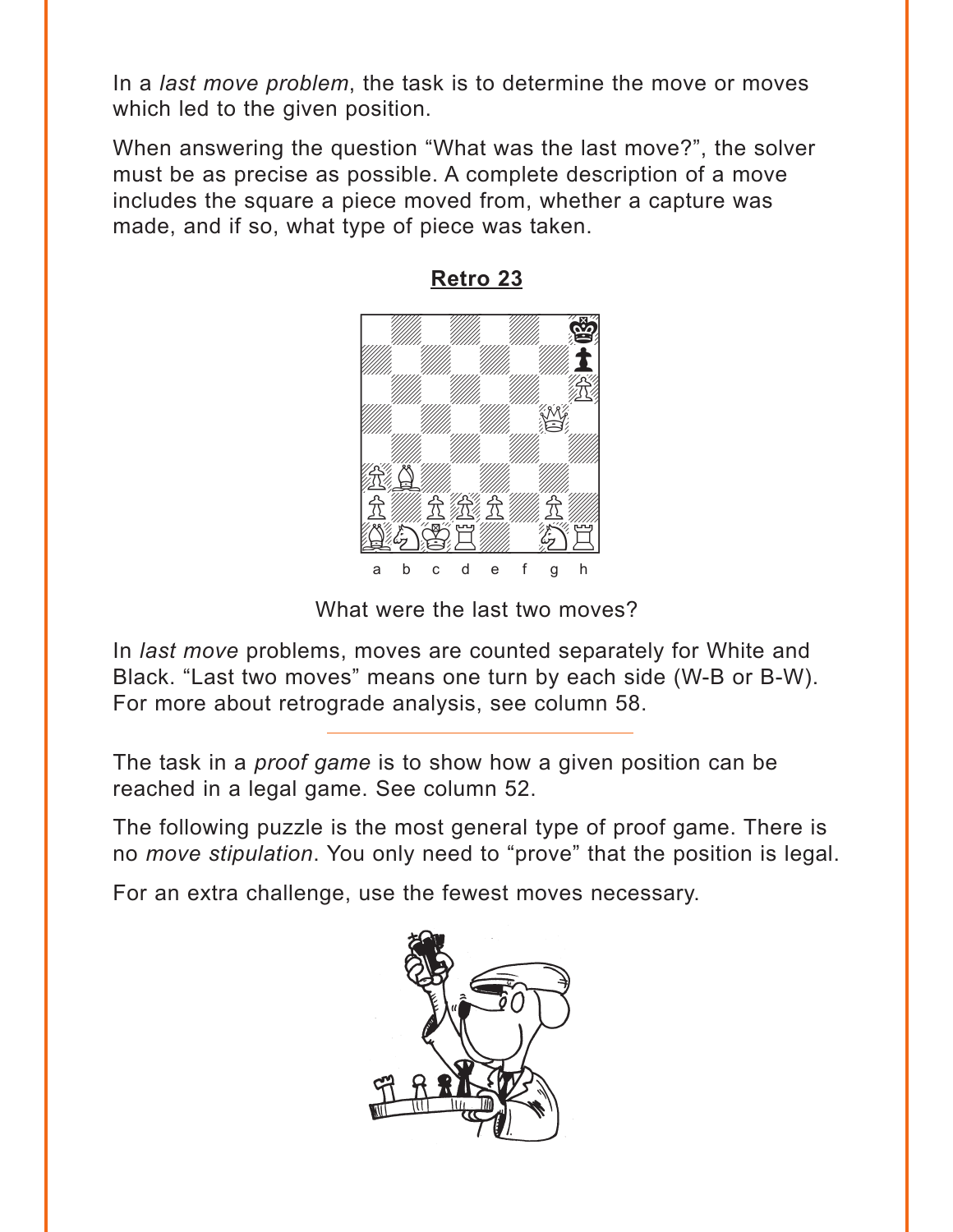<span id="page-2-0"></span>In a *last move problem*, the task is to determine the move or moves which led to the given position.

When answering the question "What was the last move?", the solver must be as precise as possible. A complete description of a move includes the square a piece moved from, whether a capture was made, and if so, what type of piece was taken.



**[Retro 23](#page-6-0)**

What were the last two moves?

In *last move* problems, moves are counted separately for White and Black. "Last two moves" means one turn by each side (W-B or B-W). For more about retrograde analysis, see column 58.

The task in a *proof game* is to show how a given position can be reached in a legal game. See column 52.

The following puzzle is the most general type of proof game. There is no *move stipulation*. You only need to "prove" that the position is legal.

For an extra challenge, use the fewest moves necessary.

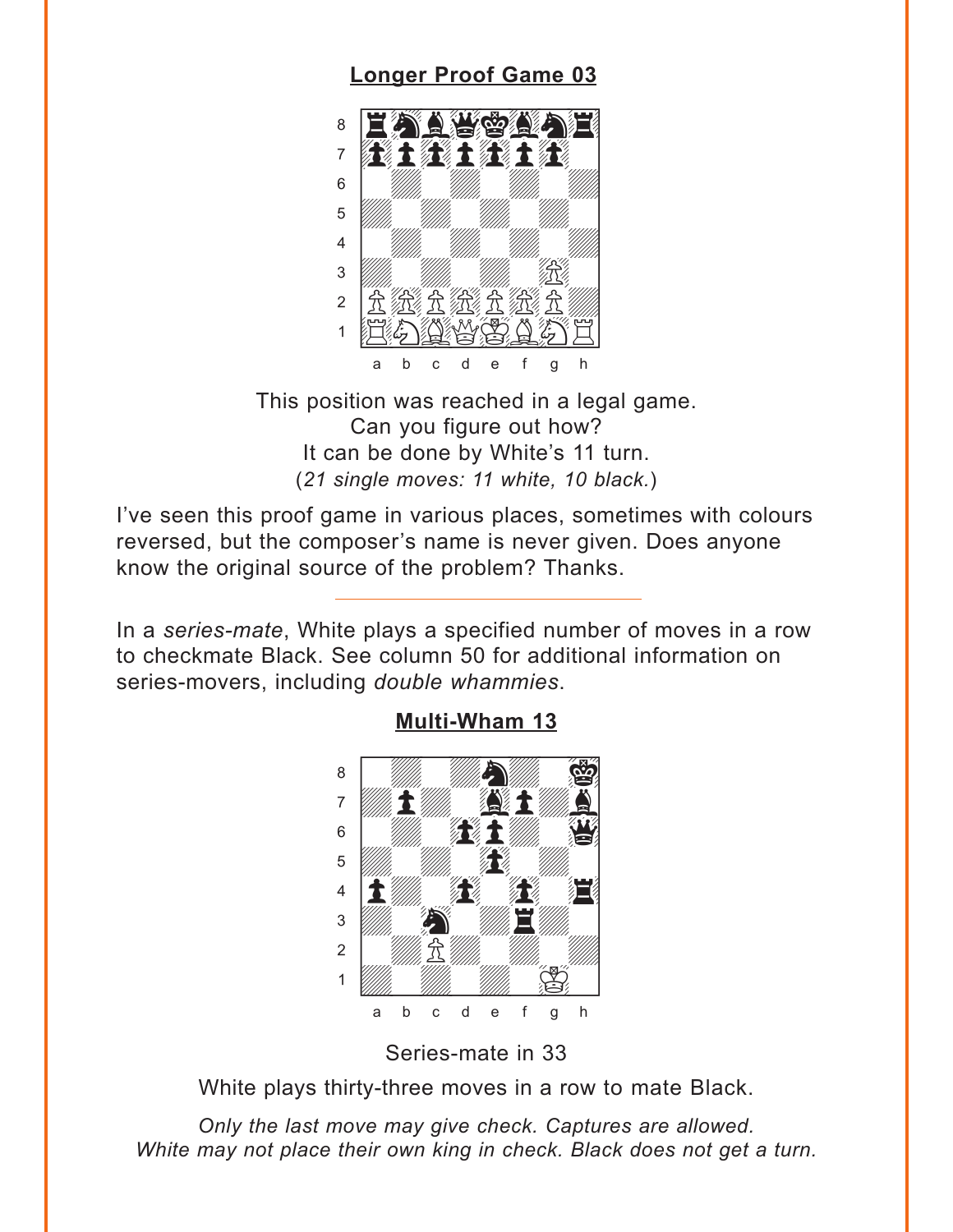### **Longer Proof Game 03**

<span id="page-3-0"></span>

This position was reached in a legal game. Can you figure out how? It can be done by White's 11 turn. (21 single moves: 11 white, 10 black.)

I've seen this proof game in various places, sometimes with colours reversed, but the composer's name is never given. Does anyone know the original source of the problem? Thanks.

In a series-mate, White plays a specified number of moves in a row to checkmate Black. See column 50 for additional information on series-movers, including double whammies.





Series-mate in 33

White plays thirty-three moves in a row to mate Black.

Only the last move may give check. Captures are allowed. White may not place their own king in check. Black does not get a turn.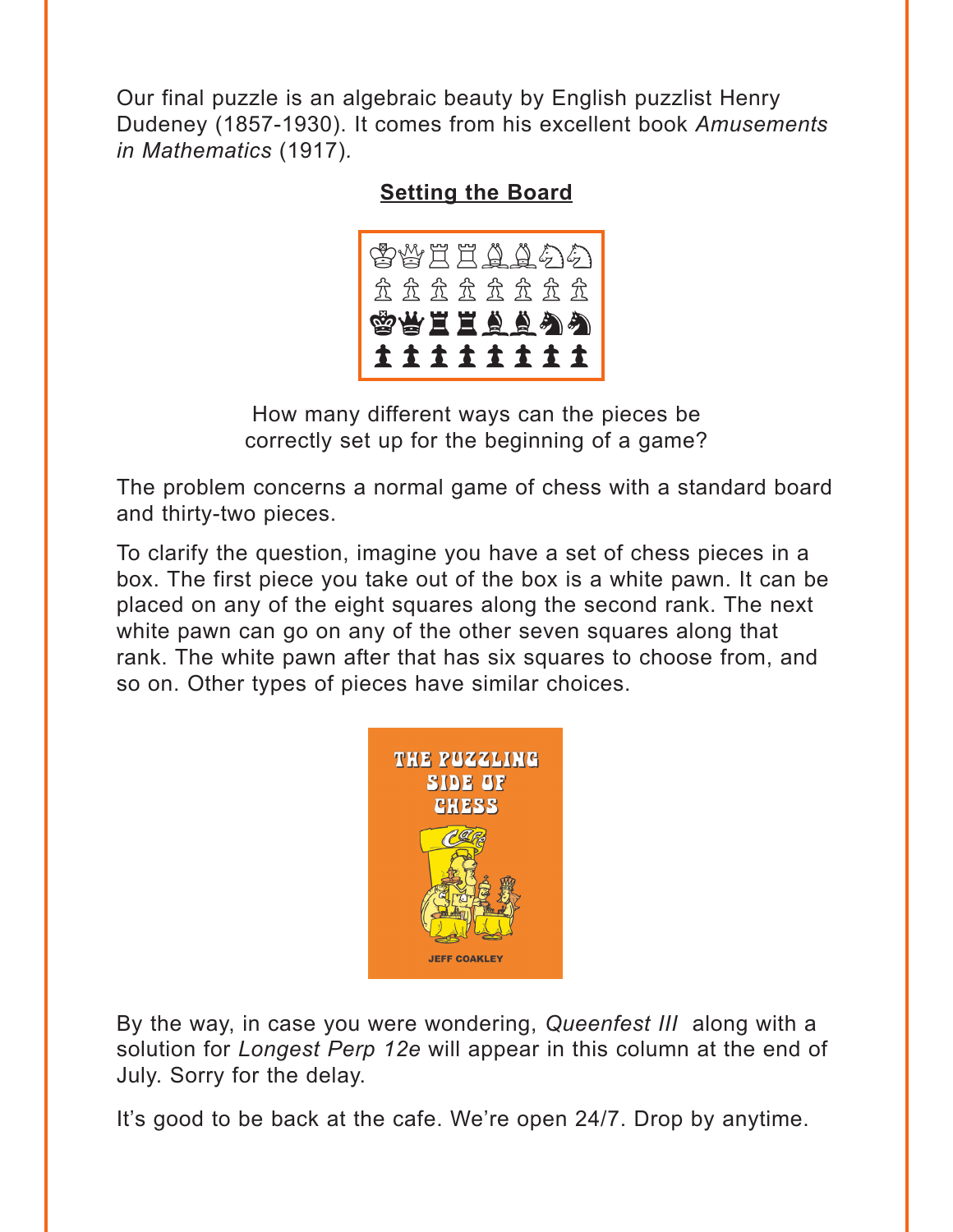<span id="page-4-0"></span>Our final puzzle is an algebraic beauty by English puzzlist Henry Dudeney (1857-1930). It comes from his excellent book *Amusements in Mathematics* (1917)*.*

#### **[Setting the Board](#page-11-0)**



How many different ways can the pieces be correctly set up for the beginning of a game?

The problem concerns a normal game of chess with a standard board and thirty-two pieces.

To clarify the question, imagine you have a set of chess pieces in a box. The first piece you take out of the box is a white pawn. It can be placed on any of the eight squares along the second rank. The next white pawn can go on any of the other seven squares along that rank. The white pawn after that has six squares to choose from, and so on. Other types of pieces have similar choices.



By the way, in case you were wondering, *Queenfest III* along with a solution for *Longest Perp 12e* will appear in this column at the end of July. Sorry for the delay.

It's good to be back at the cafe. We're open 24/7. Drop by anytime.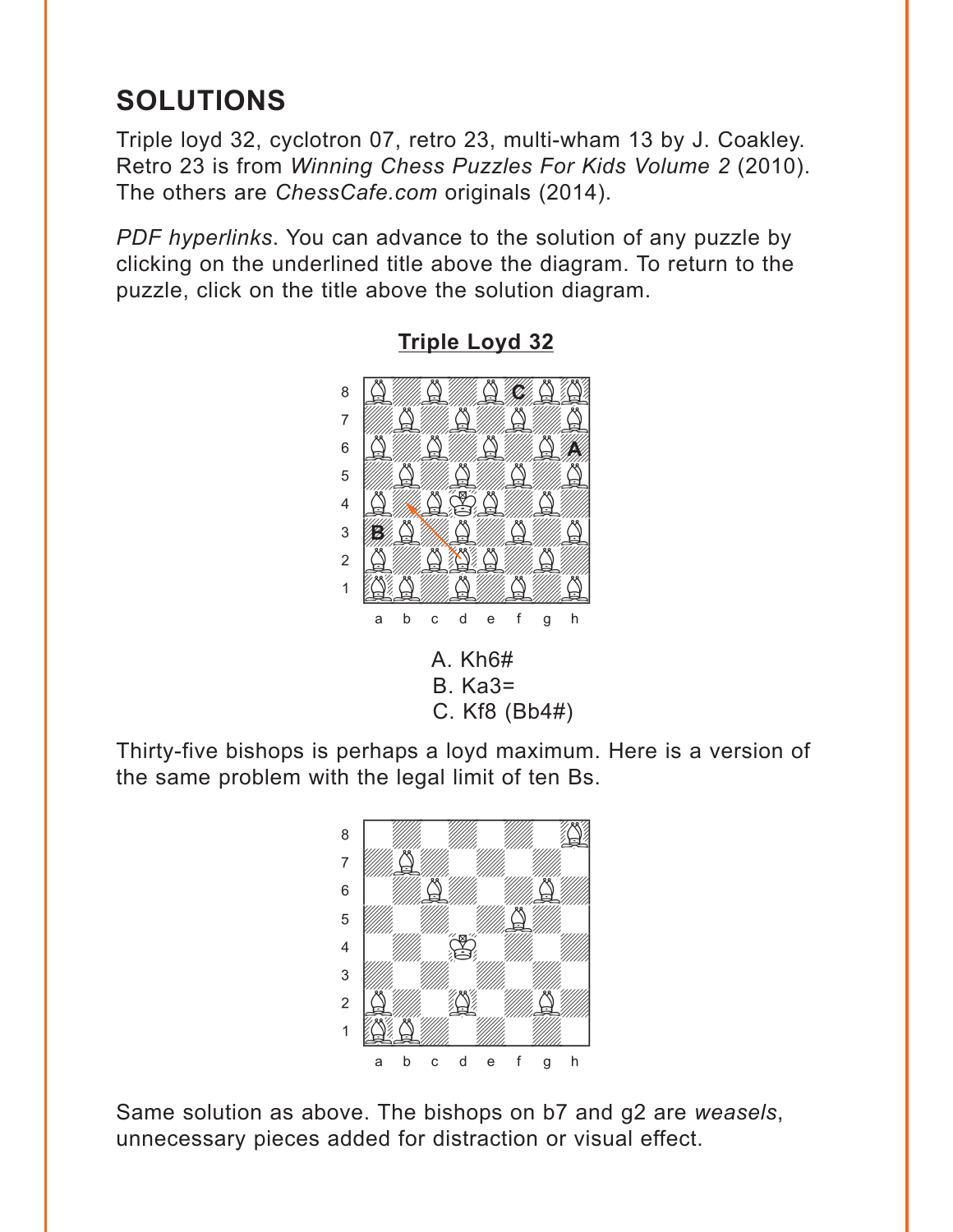# <span id="page-5-0"></span>**SOLUTIONS**

Triple loyd 32, cyclotron 07, retro 23, multi-wham 13 by J. Coakley. Retro 23 is from *Winning Chess Puzzles For Kids Volume 2* (2010). The others are *ChessCafe.com* originals (2014).

*PDF hyperlinks*. You can advance to the solution of any puzzle by clicking on the underlined title above the diagram. To return to the puzzle, click on the title above the solution diagram.



**[Triple Loyd 32](#page-1-0)**

Thirty-five bishops is perhaps a loyd maximum. Here is a version of the same problem with the legal limit of ten Bs.



Same solution as above. The bishops on b7 and g2 are *weasels*, unnecessary pieces added for distraction or visual effect.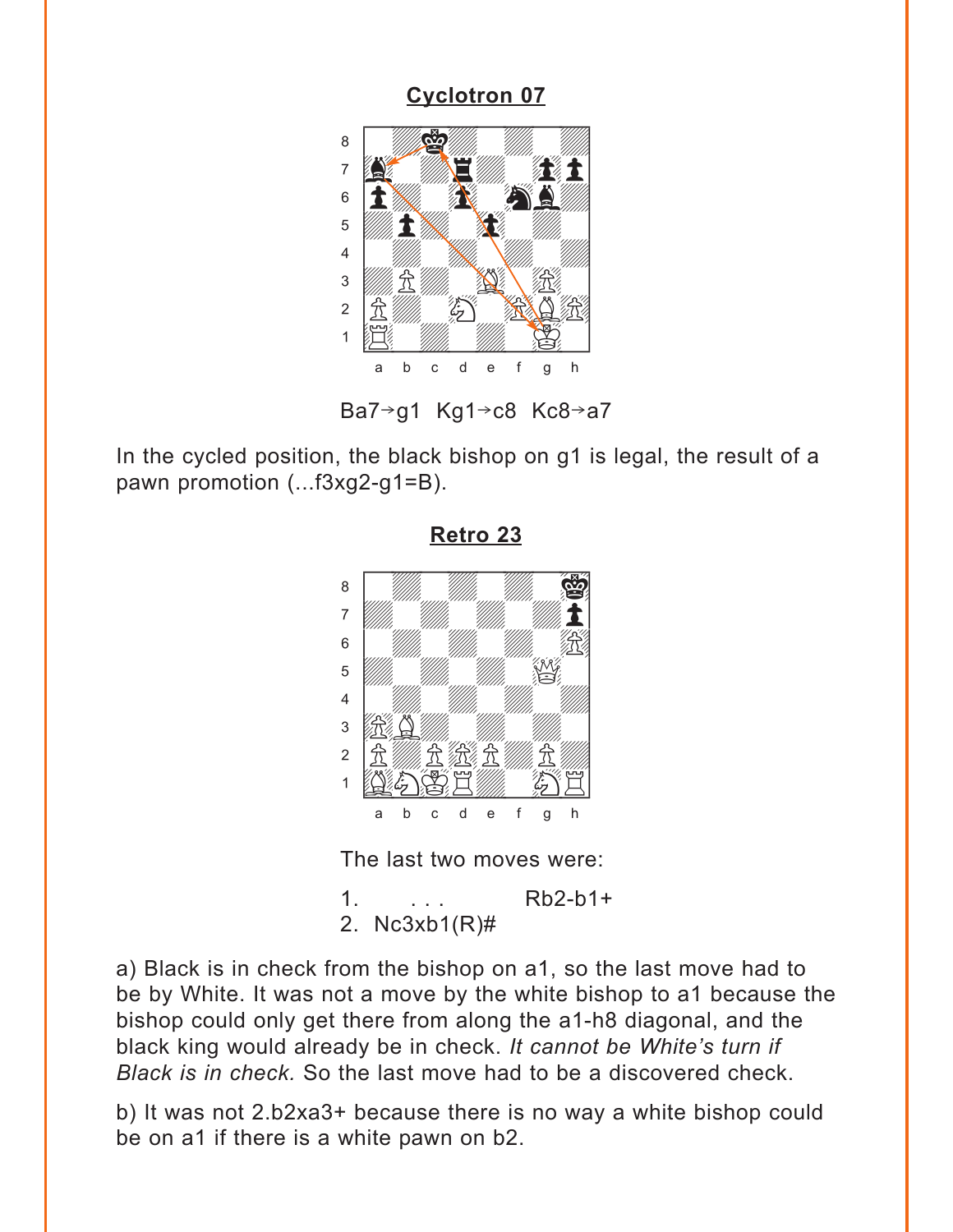## **Cyclotron 07**

<span id="page-6-0"></span>

Ba7 $\rightarrow$ g1 Kg1 $\rightarrow$ c8 Kc8 $\rightarrow$ a7

In the cycled position, the black bishop on g1 is legal, the result of a pawn promotion (...f3xg2-g1=B).



Retro 23

The last two moves were:

 $Rb2-b1+$  $1<sub>1</sub>$ 2.  $Nc3xb1(R)\#$ 

a) Black is in check from the bishop on a1, so the last move had to be by White. It was not a move by the white bishop to a1 because the bishop could only get there from along the a1-h8 diagonal, and the black king would already be in check. It cannot be White's turn if Black is in check. So the last move had to be a discovered check.

b) It was not 2.b2xa3+ because there is no way a white bishop could be on a1 if there is a white pawn on b2.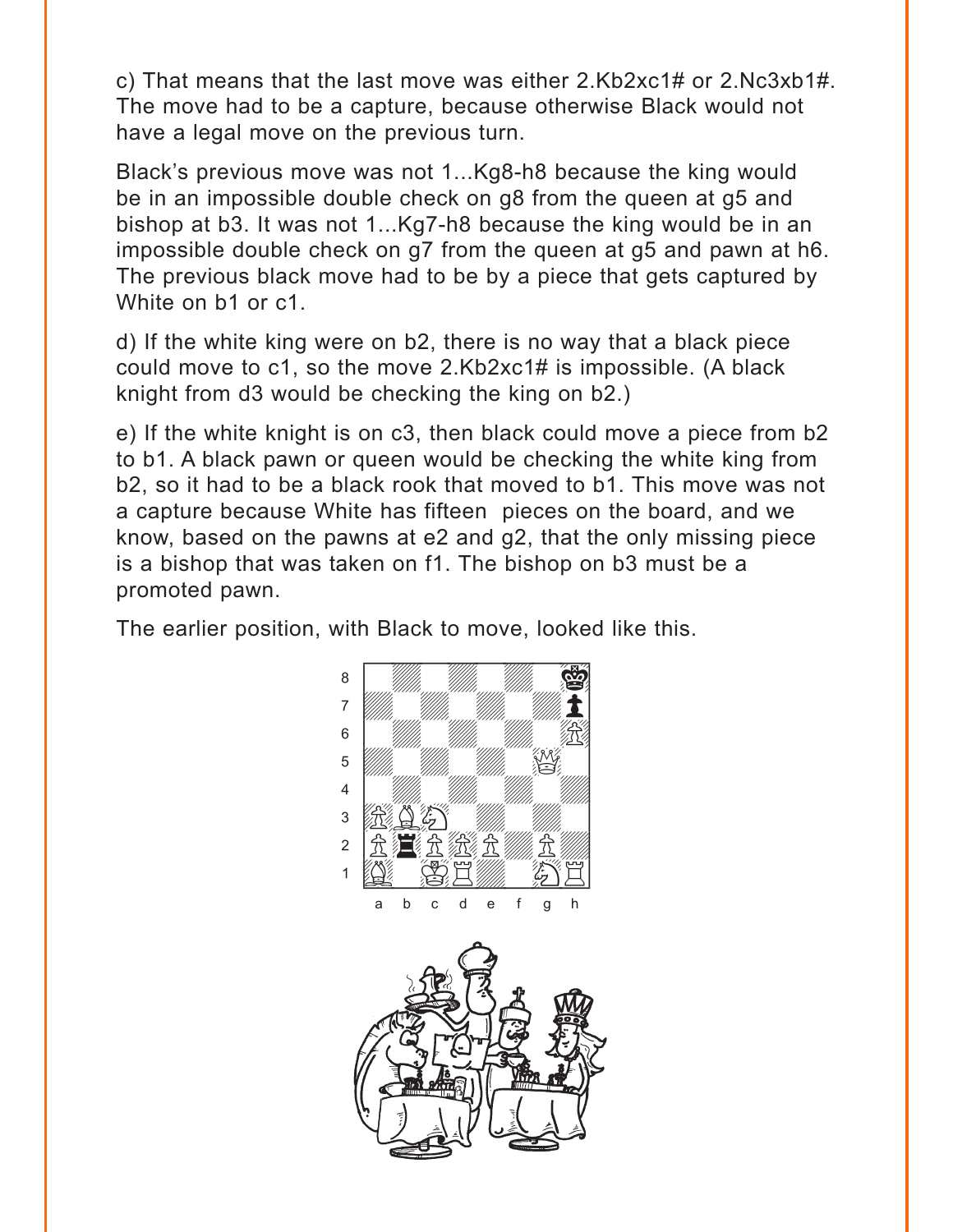c) That means that the last move was either 2.Kb2xc1# or 2.Nc3xb1#. The move had to be a capture, because otherwise Black would not have a legal move on the previous turn.

Black's previous move was not 1...Kg8-h8 because the king would be in an impossible double check on g8 from the queen at g5 and bishop at b3. It was not 1...Kg7-h8 because the king would be in an impossible double check on g7 from the queen at g5 and pawn at h6. The previous black move had to be by a piece that gets captured by White on b1 or c1.

d) If the white king were on b2, there is no way that a black piece could move to c1, so the move 2.Kb2xc1# is impossible. (A black knight from d3 would be checking the king on b2.)

e) If the white knight is on c3, then black could move a piece from b2 to b1. A black pawn or queen would be checking the white king from b2, so it had to be a black rook that moved to b1. This move was not a capture because White has fifteen pieces on the board, and we know, based on the pawns at e2 and g2, that the only missing piece is a bishop that was taken on f1. The bishop on b3 must be a promoted pawn.

The earlier position, with Black to move, looked like this.

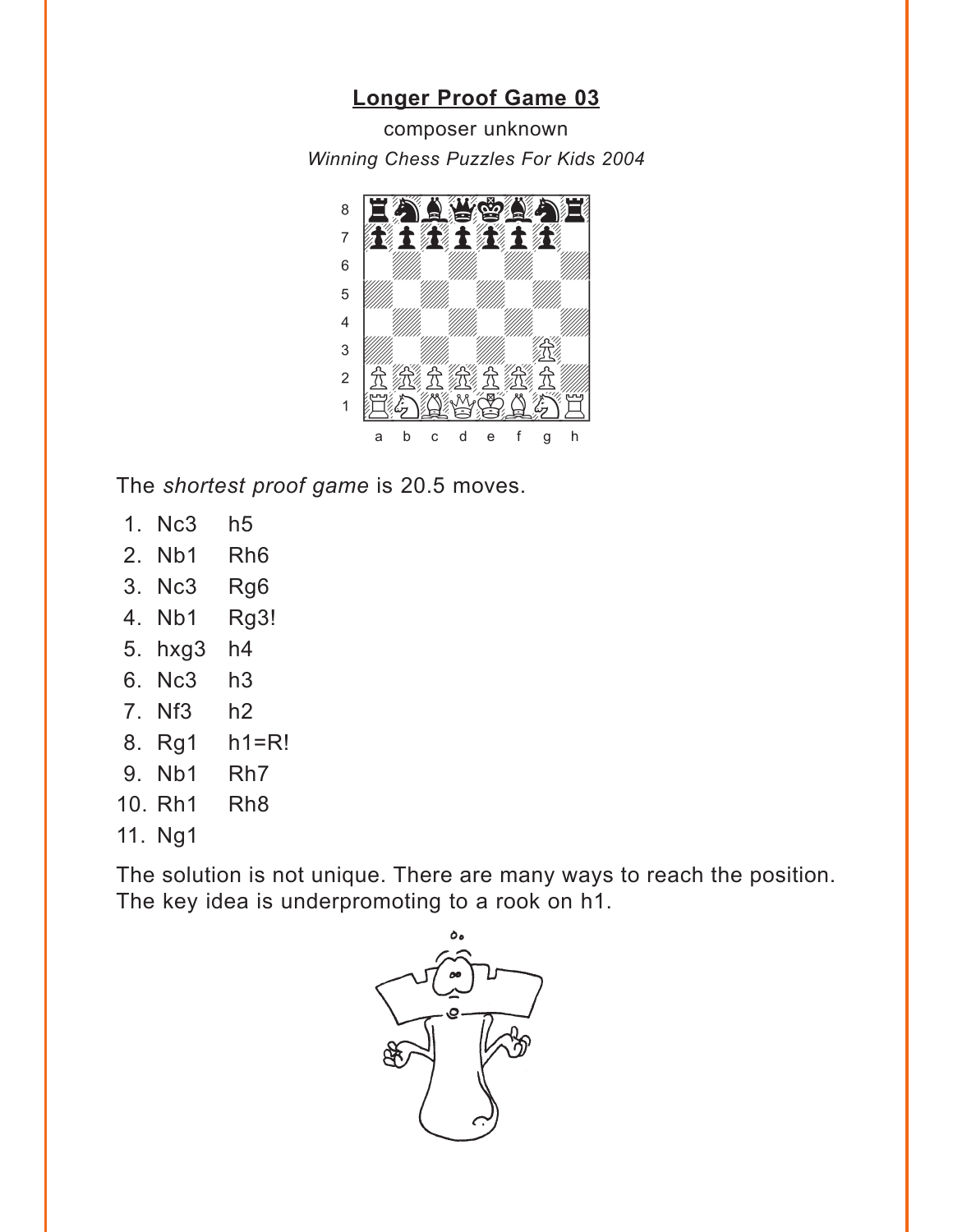### **Longer Proof Game 03**

<span id="page-8-0"></span>composer unknown Winning Chess Puzzles For Kids 2004



The shortest proof game is 20.5 moves.

- 1. Nc3  $h<sub>5</sub>$
- 2. Nb1 Rh<sub>6</sub>
- 3. Nc3 Rg6
- 4. Nb1 Rg<sub>3!</sub>
- 5. hxg3  $h4$
- 6. Nc3  $h3$
- 7. Nf3  $h2$
- 8. Rg1 h1=R!
- 9. Nb1 Rh<sub>7</sub>
- 10. Rh1 Rh<sub>8</sub>
- 11. Ng1

The solution is not unique. There are many ways to reach the position. The key idea is underpromoting to a rook on h1.

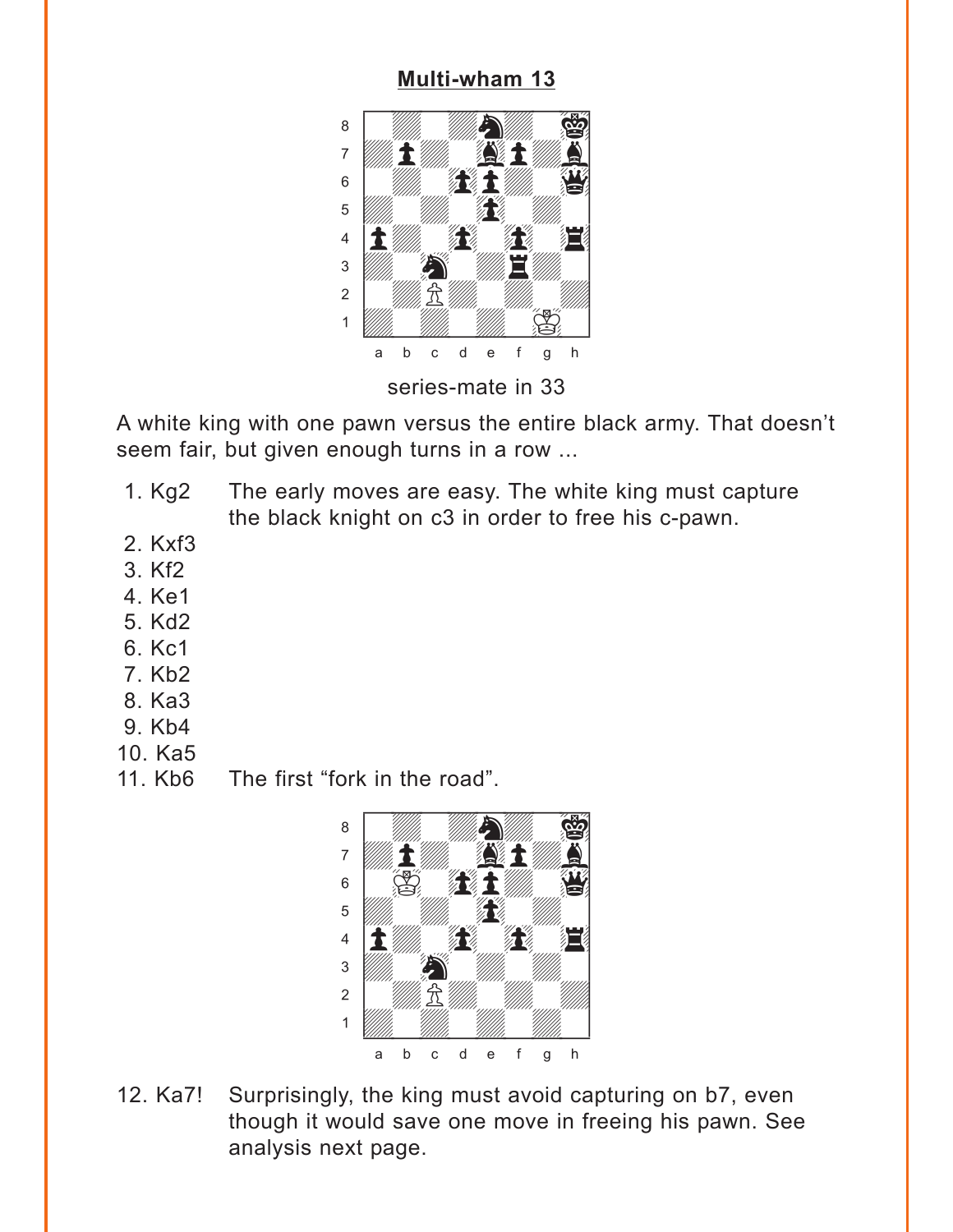#### **[Multi-wham 13](#page-3-0)**

<span id="page-9-0"></span>

A white king with one pawn versus the entire black army. That doesn't seem fair, but given enough turns in a row ...

- 1. Kg2 The early moves are easy. The white king must capture the black knight on c3 in order to free his c-pawn.
- 2. Kxf3
- 3. Kf2
- 4. Ke1
- 5. Kd2
- 6. Kc1
- 7. Kb2
- 8. Ka3
- 9. Kb4
- 10. Ka5
- 11. Kb6 The first "fork in the road".



12. Ka7! Surprisingly, the king must avoid capturing on b7, even though it would save one move in freeing his pawn. See analysis next page.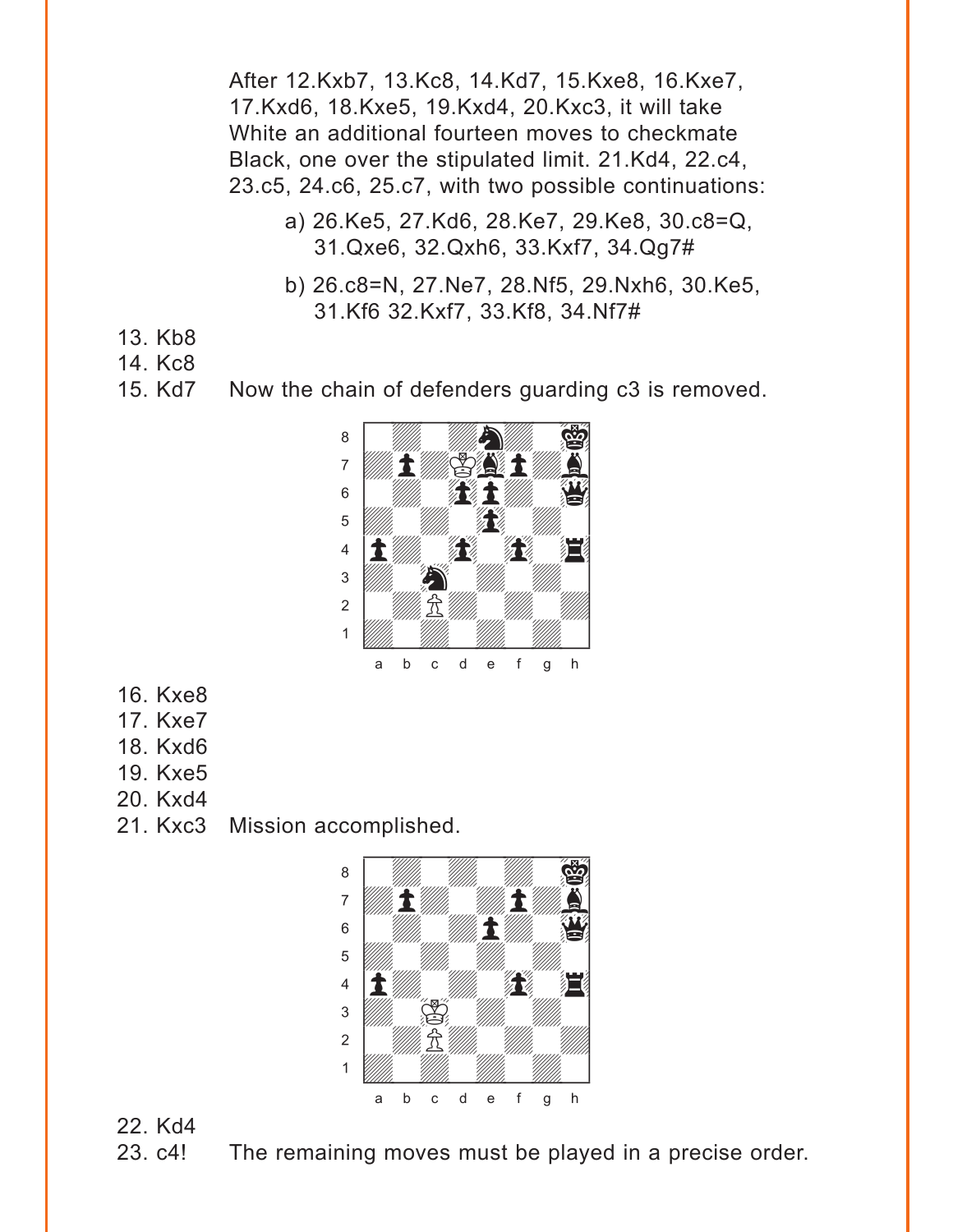After 12.Kxb7, 13.Kc8, 14.Kd7, 15.Kxe8, 16.Kxe7, 17.Kxd6, 18.Kxe5, 19.Kxd4, 20.Kxc3, it will take White an additional fourteen moves to checkmate Black, one over the stipulated limit. 21.Kd4, 22.c4, 23.c5, 24.c6, 25.c7, with two possible continuations:

- a) 26.Ke5, 27.Kd6, 28.Ke7, 29.Ke8, 30.c8=Q, 31.Qxe6, 32.Qxh6, 33.Kxf7, 34.Qg7#
- b) 26.c8=N, 27.Ne7, 28.Nf5, 29.Nxh6, 30.Ke5, 31.Kf6 32.Kxf7, 33.Kf8, 34.Nf7#
- 13. Kb8
- 14. Kc8
- 15. Kd7 Now the chain of defenders guarding c3 is removed.



- 16. Kxe8
- 17. Kxe7
- 18. Kxd6
- 19. Kxe5
- 20. Kxd4
- 21. Kxc3 Mission accomplished.



22. Kd4

23. c4! The remaining moves must be played in a precise order.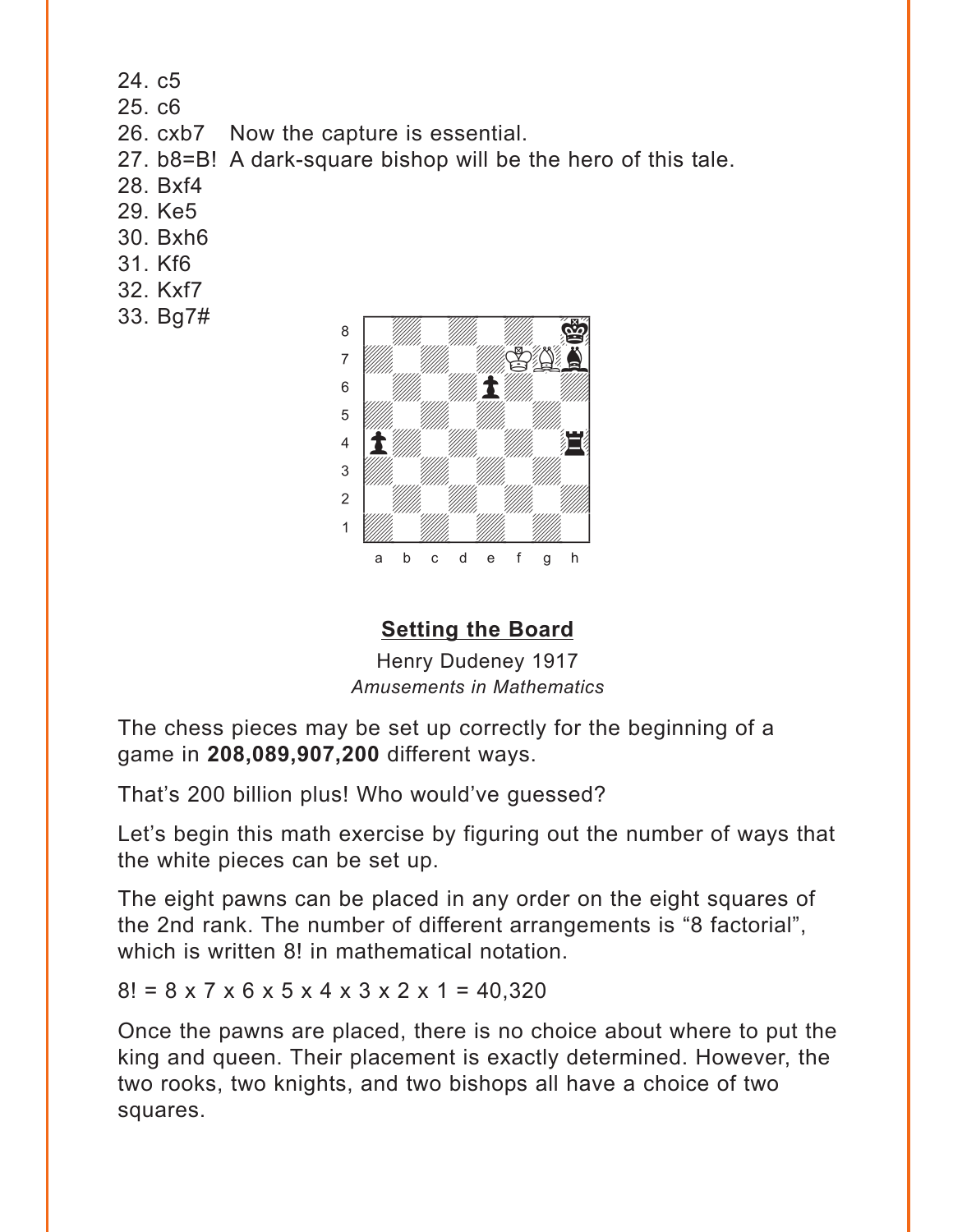<span id="page-11-0"></span>24. c5

25. c6

26. cxb7 Now the capture is essential.

27. b8=B! A dark-square bishop will be the hero of this tale.

- 28. Bxf4
- 29. Ke5
- 30. Bxh6
- 31. Kf6
- 32. Kxf7
- 33. Bg7#



## **[Setting the Board](#page-4-0)**

Henry Dudeney 1917 *Amusements in Mathematics*

The chess pieces may be set up correctly for the beginning of a game in **208,089,907,200** different ways.

That's 200 billion plus! Who would've guessed?

Let's begin this math exercise by figuring out the number of ways that the white pieces can be set up.

The eight pawns can be placed in any order on the eight squares of the 2nd rank. The number of different arrangements is "8 factorial", which is written 8! in mathematical notation.

 $8! = 8 \times 7 \times 6 \times 5 \times 4 \times 3 \times 2 \times 1 = 40.320$ 

Once the pawns are placed, there is no choice about where to put the king and queen. Their placement is exactly determined. However, the two rooks, two knights, and two bishops all have a choice of two squares.